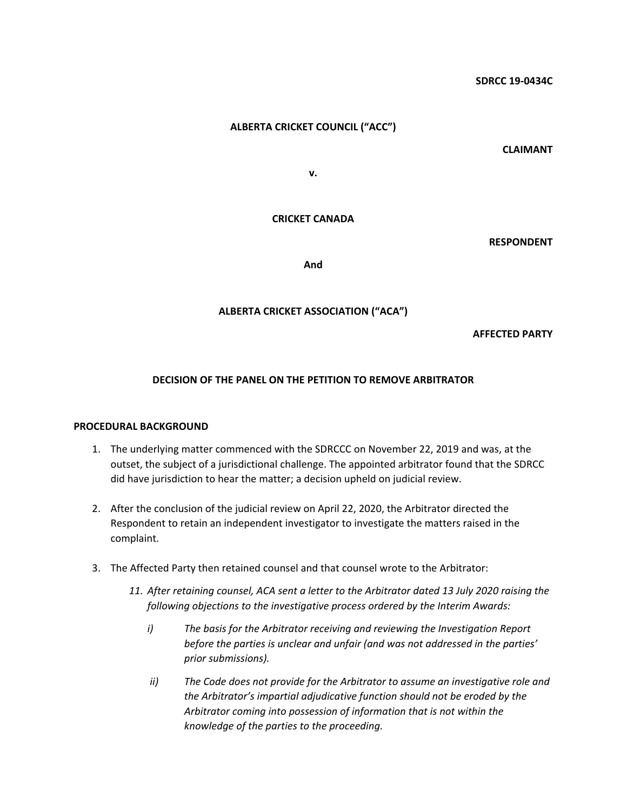# **ALBERTA CRICKET COUNCIL ("ACC")**

**CLAIMANT**

**v.**

### **CRICKET CANADA**

**RESPONDENT**

**And**

### **ALBERTA CRICKET ASSOCIATION ("ACA")**

**AFFECTED PARTY**

### **DECISION OF THE PANEL ON THE PETITION TO REMOVE ARBITRATOR**

#### **PROCEDURAL BACKGROUND**

- 1. The underlying matter commenced with the SDRCCC on November 22, 2019 and was, at the outset, the subject of a jurisdictional challenge. The appointed arbitrator found that the SDRCC did have jurisdiction to hear the matter; a decision upheld on judicial review.
- 2. After the conclusion of the judicial review on April 22, 2020, the Arbitrator directed the Respondent to retain an independent investigator to investigate the matters raised in the complaint.
- 3. The Affected Party then retained counsel and that counsel wrote to the Arbitrator:
	- *11. After retaining counsel, ACA sent a letter to the Arbitrator dated 13 July 2020 raising the following objections to the investigative process ordered by the Interim Awards:* 
		- *i) The basis for the Arbitrator receiving and reviewing the Investigation Report before the parties is unclear and unfair (and was not addressed in the parties' prior submissions).*
		- *ii) The Code does not provide for the Arbitrator to assume an investigative role and the Arbitrator's impartial adjudicative function should not be eroded by the Arbitrator coming into possession of information that is not within the knowledge of the parties to the proceeding.*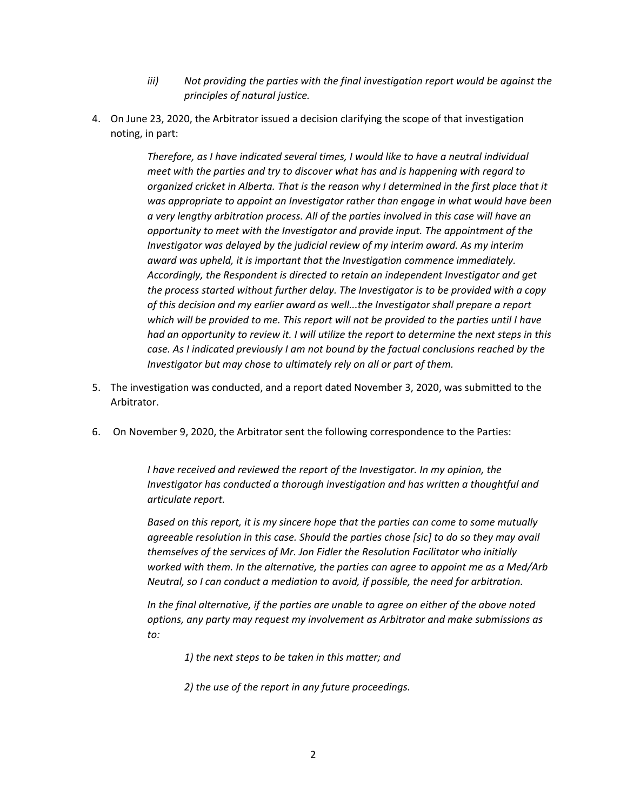- *iii) Not providing the parties with the final investigation report would be against the principles of natural justice.*
- 4. On June 23, 2020, the Arbitrator issued a decision clarifying the scope of that investigation noting, in part:

*Therefore, as I have indicated several times, I would like to have a neutral individual meet with the parties and try to discover what has and is happening with regard to organized cricket in Alberta. That is the reason why I determined in the first place that it was appropriate to appoint an Investigator rather than engage in what would have been a very lengthy arbitration process. All of the parties involved in this case will have an opportunity to meet with the Investigator and provide input. The appointment of the Investigator was delayed by the judicial review of my interim award. As my interim award was upheld, it is important that the Investigation commence immediately. Accordingly, the Respondent is directed to retain an independent Investigator and get the process started without further delay. The Investigator is to be provided with a copy of this decision and my earlier award as well...the Investigator shall prepare a report which will be provided to me. This report will not be provided to the parties until I have had an opportunity to review it. I will utilize the report to determine the next steps in this case. As I indicated previously I am not bound by the factual conclusions reached by the Investigator but may chose to ultimately rely on all or part of them.*

- 5. The investigation was conducted, and a report dated November 3, 2020, was submitted to the Arbitrator.
- 6. On November 9, 2020, the Arbitrator sent the following correspondence to the Parties:

*I have received and reviewed the report of the Investigator. In my opinion, the Investigator has conducted a thorough investigation and has written a thoughtful and articulate report.* 

*Based on this report, it is my sincere hope that the parties can come to some mutually agreeable resolution in this case. Should the parties chose [sic] to do so they may avail themselves of the services of Mr. Jon Fidler the Resolution Facilitator who initially worked with them. In the alternative, the parties can agree to appoint me as a Med/Arb Neutral, so I can conduct a mediation to avoid, if possible, the need for arbitration.* 

*In the final alternative, if the parties are unable to agree on either of the above noted options, any party may request my involvement as Arbitrator and make submissions as to:* 

- *1) the next steps to be taken in this matter; and*
- *2) the use of the report in any future proceedings.*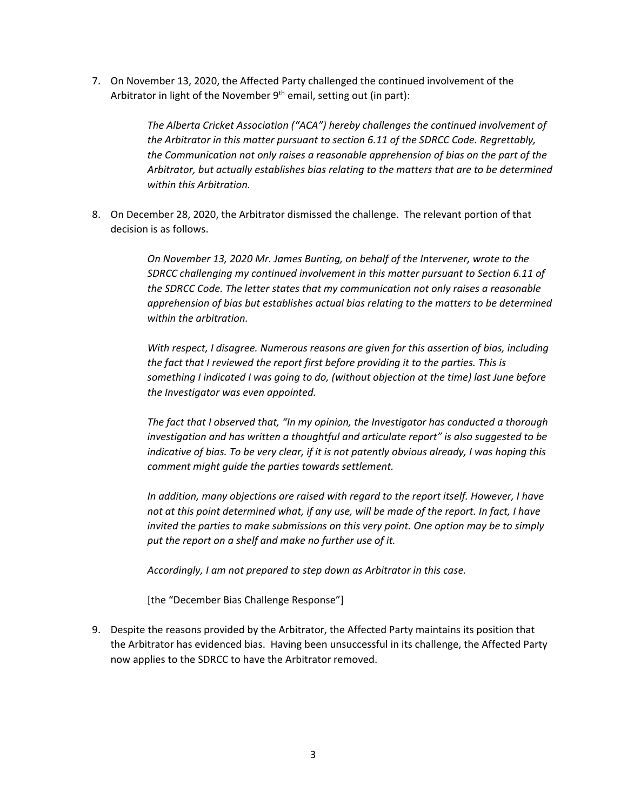7. On November 13, 2020, the Affected Party challenged the continued involvement of the Arbitrator in light of the November  $9<sup>th</sup>$  email, setting out (in part):

> *The Alberta Cricket Association ("ACA") hereby challenges the continued involvement of the Arbitrator in this matter pursuant to section 6.11 of the SDRCC Code. Regrettably, the Communication not only raises a reasonable apprehension of bias on the part of the Arbitrator, but actually establishes bias relating to the matters that are to be determined within this Arbitration.*

8. On December 28, 2020, the Arbitrator dismissed the challenge. The relevant portion of that decision is as follows.

> *On November 13, 2020 Mr. James Bunting, on behalf of the Intervener, wrote to the SDRCC challenging my continued involvement in this matter pursuant to Section 6.11 of the SDRCC Code. The letter states that my communication not only raises a reasonable apprehension of bias but establishes actual bias relating to the matters to be determined within the arbitration.*

> *With respect, I disagree. Numerous reasons are given for this assertion of bias, including the fact that I reviewed the report first before providing it to the parties. This is something I indicated I was going to do, (without objection at the time) last June before the Investigator was even appointed.*

> *The fact that I observed that, "In my opinion, the Investigator has conducted a thorough investigation and has written a thoughtful and articulate report" is also suggested to be indicative of bias. To be very clear, if it is not patently obvious already, I was hoping this comment might guide the parties towards settlement.*

> *In addition, many objections are raised with regard to the report itself. However, I have not at this point determined what, if any use, will be made of the report. In fact, I have invited the parties to make submissions on this very point. One option may be to simply put the report on a shelf and make no further use of it.*

*Accordingly, I am not prepared to step down as Arbitrator in this case.*

[the "December Bias Challenge Response"]

9. Despite the reasons provided by the Arbitrator, the Affected Party maintains its position that the Arbitrator has evidenced bias. Having been unsuccessful in its challenge, the Affected Party now applies to the SDRCC to have the Arbitrator removed.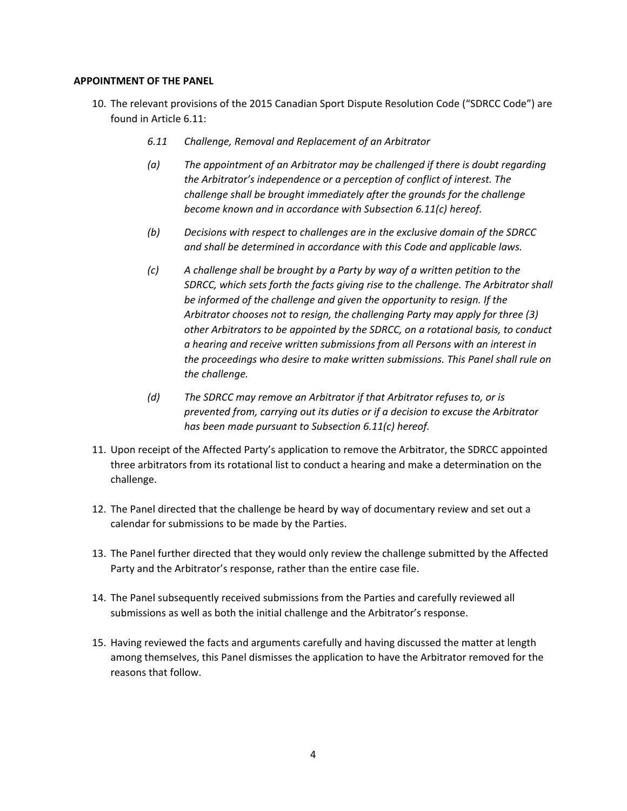# **APPOINTMENT OF THE PANEL**

- 10. The relevant provisions of the 2015 Canadian Sport Dispute Resolution Code ("SDRCC Code") are found in Article 6.11:
	- *6.11 Challenge, Removal and Replacement of an Arbitrator*
	- *(a) The appointment of an Arbitrator may be challenged if there is doubt regarding the Arbitrator's independence or a perception of conflict of interest. The challenge shall be brought immediately after the grounds for the challenge become known and in accordance with Subsection 6.11(c) hereof.*
	- *(b) Decisions with respect to challenges are in the exclusive domain of the SDRCC and shall be determined in accordance with this Code and applicable laws.*
	- *(c) A challenge shall be brought by a Party by way of a written petition to the SDRCC, which sets forth the facts giving rise to the challenge. The Arbitrator shall be informed of the challenge and given the opportunity to resign. If the Arbitrator chooses not to resign, the challenging Party may apply for three (3) other Arbitrators to be appointed by the SDRCC, on a rotational basis, to conduct a hearing and receive written submissions from all Persons with an interest in the proceedings who desire to make written submissions. This Panel shall rule on the challenge.*
	- *(d) The SDRCC may remove an Arbitrator if that Arbitrator refuses to, or is prevented from, carrying out its duties or if a decision to excuse the Arbitrator has been made pursuant to Subsection 6.11(c) hereof.*
- 11. Upon receipt of the Affected Party's application to remove the Arbitrator, the SDRCC appointed three arbitrators from its rotational list to conduct a hearing and make a determination on the challenge.
- 12. The Panel directed that the challenge be heard by way of documentary review and set out a calendar for submissions to be made by the Parties.
- 13. The Panel further directed that they would only review the challenge submitted by the Affected Party and the Arbitrator's response, rather than the entire case file.
- 14. The Panel subsequently received submissions from the Parties and carefully reviewed all submissions as well as both the initial challenge and the Arbitrator's response.
- 15. Having reviewed the facts and arguments carefully and having discussed the matter at length among themselves, this Panel dismisses the application to have the Arbitrator removed for the reasons that follow.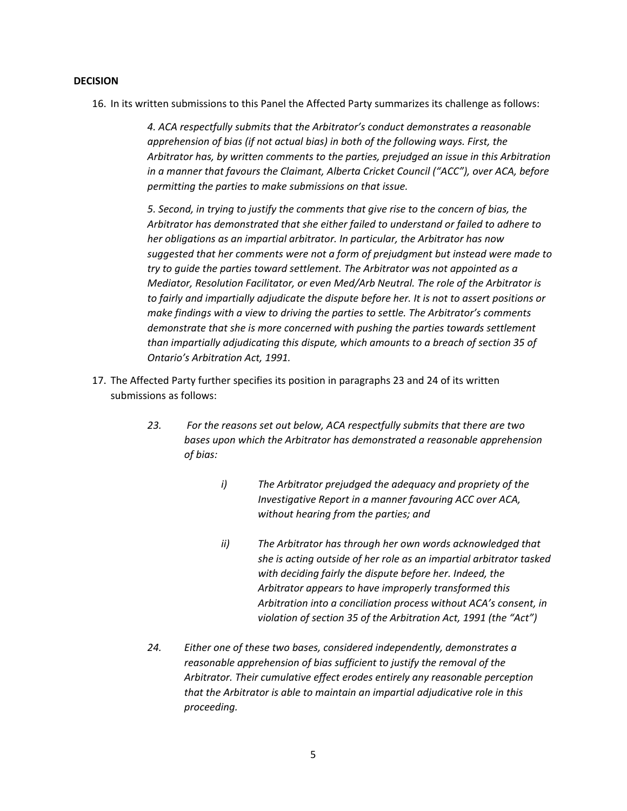## **DECISION**

16. In its written submissions to this Panel the Affected Party summarizes its challenge as follows:

*4. ACA respectfully submits that the Arbitrator's conduct demonstrates a reasonable apprehension of bias (if not actual bias) in both of the following ways. First, the Arbitrator has, by written comments to the parties, prejudged an issue in this Arbitration in a manner that favours the Claimant, Alberta Cricket Council ("ACC"), over ACA, before permitting the parties to make submissions on that issue.* 

*5. Second, in trying to justify the comments that give rise to the concern of bias, the Arbitrator has demonstrated that she either failed to understand or failed to adhere to her obligations as an impartial arbitrator. In particular, the Arbitrator has now suggested that her comments were not a form of prejudgment but instead were made to try to guide the parties toward settlement. The Arbitrator was not appointed as a Mediator, Resolution Facilitator, or even Med/Arb Neutral. The role of the Arbitrator is to fairly and impartially adjudicate the dispute before her. It is not to assert positions or make findings with a view to driving the parties to settle. The Arbitrator's comments demonstrate that she is more concerned with pushing the parties towards settlement than impartially adjudicating this dispute, which amounts to a breach of section 35 of Ontario's Arbitration Act, 1991.* 

- 17. The Affected Party further specifies its position in paragraphs 23 and 24 of its written submissions as follows:
	- *23. For the reasons set out below, ACA respectfully submits that there are two bases upon which the Arbitrator has demonstrated a reasonable apprehension of bias:* 
		- *i) The Arbitrator prejudged the adequacy and propriety of the Investigative Report in a manner favouring ACC over ACA, without hearing from the parties; and*
		- *ii) The Arbitrator has through her own words acknowledged that she is acting outside of her role as an impartial arbitrator tasked with deciding fairly the dispute before her. Indeed, the Arbitrator appears to have improperly transformed this Arbitration into a conciliation process without ACA's consent, in violation of section 35 of the Arbitration Act, 1991 (the "Act")*
	- *24. Either one of these two bases, considered independently, demonstrates a reasonable apprehension of bias sufficient to justify the removal of the Arbitrator. Their cumulative effect erodes entirely any reasonable perception that the Arbitrator is able to maintain an impartial adjudicative role in this proceeding.*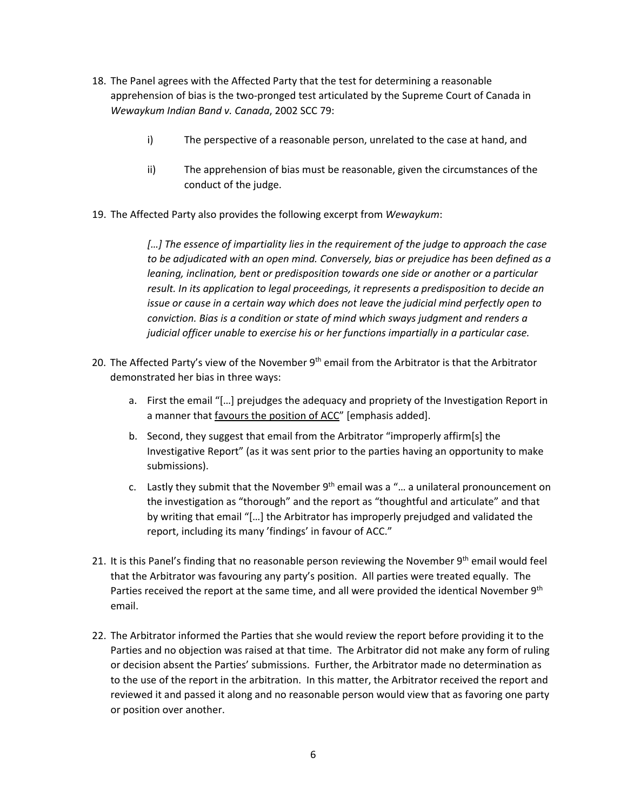- 18. The Panel agrees with the Affected Party that the test for determining a reasonable apprehension of bias is the two‐pronged test articulated by the Supreme Court of Canada in *Wewaykum Indian Band v. Canada*, 2002 SCC 79:
	- i) The perspective of a reasonable person, unrelated to the case at hand, and
	- ii) The apprehension of bias must be reasonable, given the circumstances of the conduct of the judge.
- 19. The Affected Party also provides the following excerpt from *Wewaykum*:

*[…] The essence of impartiality lies in the requirement of the judge to approach the case to be adjudicated with an open mind. Conversely, bias or prejudice has been defined as a leaning, inclination, bent or predisposition towards one side or another or a particular result. In its application to legal proceedings, it represents a predisposition to decide an issue or cause in a certain way which does not leave the judicial mind perfectly open to conviction. Bias is a condition or state of mind which sways judgment and renders a judicial officer unable to exercise his or her functions impartially in a particular case.*

- 20. The Affected Party's view of the November  $9<sup>th</sup>$  email from the Arbitrator is that the Arbitrator demonstrated her bias in three ways:
	- a. First the email "[…] prejudges the adequacy and propriety of the Investigation Report in a manner that favours the position of ACC" [emphasis added].
	- b. Second, they suggest that email from the Arbitrator "improperly affirm[s] the Investigative Report" (as it was sent prior to the parties having an opportunity to make submissions).
	- c. Lastly they submit that the November  $9<sup>th</sup>$  email was a "... a unilateral pronouncement on the investigation as "thorough" and the report as "thoughtful and articulate" and that by writing that email "[…] the Arbitrator has improperly prejudged and validated the report, including its many 'findings' in favour of ACC."
- 21. It is this Panel's finding that no reasonable person reviewing the November  $9<sup>th</sup>$  email would feel that the Arbitrator was favouring any party's position. All parties were treated equally. The Parties received the report at the same time, and all were provided the identical November 9<sup>th</sup> email.
- 22. The Arbitrator informed the Parties that she would review the report before providing it to the Parties and no objection was raised at that time. The Arbitrator did not make any form of ruling or decision absent the Parties' submissions.Further, the Arbitrator made no determination as to the use of the report in the arbitration. In this matter, the Arbitrator received the report and reviewed it and passed it along and no reasonable person would view that as favoring one party or position over another.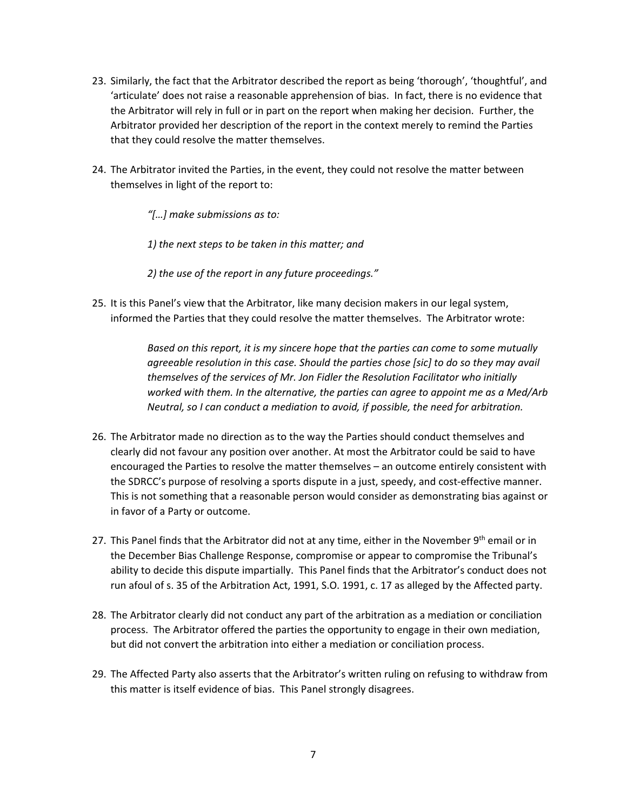- 23. Similarly, the fact that the Arbitrator described the report as being 'thorough', 'thoughtful', and 'articulate' does not raise a reasonable apprehension of bias. In fact, there is no evidence that the Arbitrator will rely in full or in part on the report when making her decision. Further, the Arbitrator provided her description of the report in the context merely to remind the Parties that they could resolve the matter themselves.
- 24. The Arbitrator invited the Parties, in the event, they could not resolve the matter between themselves in light of the report to:

*"[…] make submissions as to:* 

*1) the next steps to be taken in this matter; and* 

*2) the use of the report in any future proceedings."*

25. It is this Panel's view that the Arbitrator, like many decision makers in our legal system, informed the Parties that they could resolve the matter themselves. The Arbitrator wrote:

> *Based on this report, it is my sincere hope that the parties can come to some mutually agreeable resolution in this case. Should the parties chose [sic] to do so they may avail themselves of the services of Mr. Jon Fidler the Resolution Facilitator who initially worked with them. In the alternative, the parties can agree to appoint me as a Med/Arb Neutral, so I can conduct a mediation to avoid, if possible, the need for arbitration.*

- 26. The Arbitrator made no direction as to the way the Parties should conduct themselves and clearly did not favour any position over another. At most the Arbitrator could be said to have encouraged the Parties to resolve the matter themselves – an outcome entirely consistent with the SDRCC's purpose of resolving a sports dispute in a just, speedy, and cost-effective manner. This is not something that a reasonable person would consider as demonstrating bias against or in favor of a Party or outcome.
- 27. This Panel finds that the Arbitrator did not at any time, either in the November  $9<sup>th</sup>$  email or in the December Bias Challenge Response, compromise or appear to compromise the Tribunal's ability to decide this dispute impartially. This Panel finds that the Arbitrator's conduct does not run afoul of s. 35 of the Arbitration Act, 1991, S.O. 1991, c. 17 as alleged by the Affected party.
- 28. The Arbitrator clearly did not conduct any part of the arbitration as a mediation or conciliation process. The Arbitrator offered the parties the opportunity to engage in their own mediation, but did not convert the arbitration into either a mediation or conciliation process.
- 29. The Affected Party also asserts that the Arbitrator's written ruling on refusing to withdraw from this matter is itself evidence of bias. This Panel strongly disagrees.